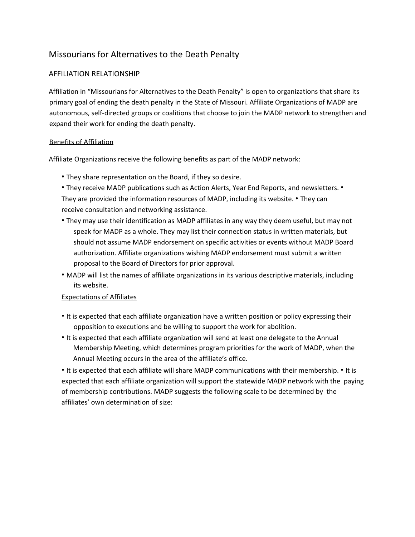## Missourians for Alternatives to the Death Penalty

## AFFILIATION RELATIONSHIP

Affiliation in "Missourians for Alternatives to the Death Penalty" is open to organizations that share its primary goal of ending the death penalty in the State of Missouri. Affiliate Organizations of MADP are autonomous, self-directed groups or coalitions that choose to join the MADP network to strengthen and expand their work for ending the death penalty.

## Benefits of Affiliation

Affiliate Organizations receive the following benefits as part of the MADP network:

- They share representation on the Board, if they so desire.
- They receive MADP publications such as Action Alerts, Year End Reports, and newsletters. •

They are provided the information resources of MADP, including its website. • They can receive consultation and networking assistance.

- They may use their identification as MADP affiliates in any way they deem useful, but may not speak for MADP as a whole. They may list their connection status in written materials, but should not assume MADP endorsement on specific activities or events without MADP Board authorization. Affiliate organizations wishing MADP endorsement must submit a written proposal to the Board of Directors for prior approval.
- MADP will list the names of affiliate organizations in its various descriptive materials, including its website.

## Expectations of Affiliates

- It is expected that each affiliate organization have a written position or policy expressing their opposition to executions and be willing to support the work for abolition.
- It is expected that each affiliate organization will send at least one delegate to the Annual Membership Meeting, which determines program priorities for the work of MADP, when the Annual Meeting occurs in the area of the affiliate's office.

• It is expected that each affiliate will share MADP communications with their membership. • It is expected that each affiliate organization will support the statewide MADP network with the paying of membership contributions. MADP suggests the following scale to be determined by the affiliates' own determination of size: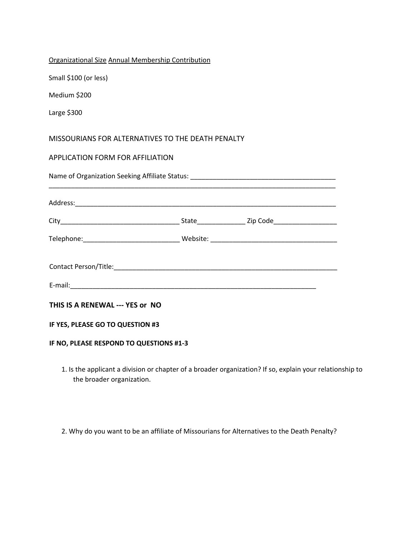| Organizational Size Annual Membership Contribution |  |  |
|----------------------------------------------------|--|--|
| Small \$100 (or less)                              |  |  |
| Medium \$200                                       |  |  |
| Large \$300                                        |  |  |
| MISSOURIANS FOR ALTERNATIVES TO THE DEATH PENALTY  |  |  |
| APPLICATION FORM FOR AFFILIATION                   |  |  |
|                                                    |  |  |
|                                                    |  |  |
|                                                    |  |  |
|                                                    |  |  |
|                                                    |  |  |
|                                                    |  |  |
| THIS IS A RENEWAL --- YES or NO                    |  |  |
| IF YES, PLEASE GO TO QUESTION #3                   |  |  |
| IF NO, PLEASE RESPOND TO QUESTIONS #1-3            |  |  |

1. Is the applicant a division or chapter of a broader organization? If so, explain your relationship to the broader organization.

2. Why do you want to be an affiliate of Missourians for Alternatives to the Death Penalty?